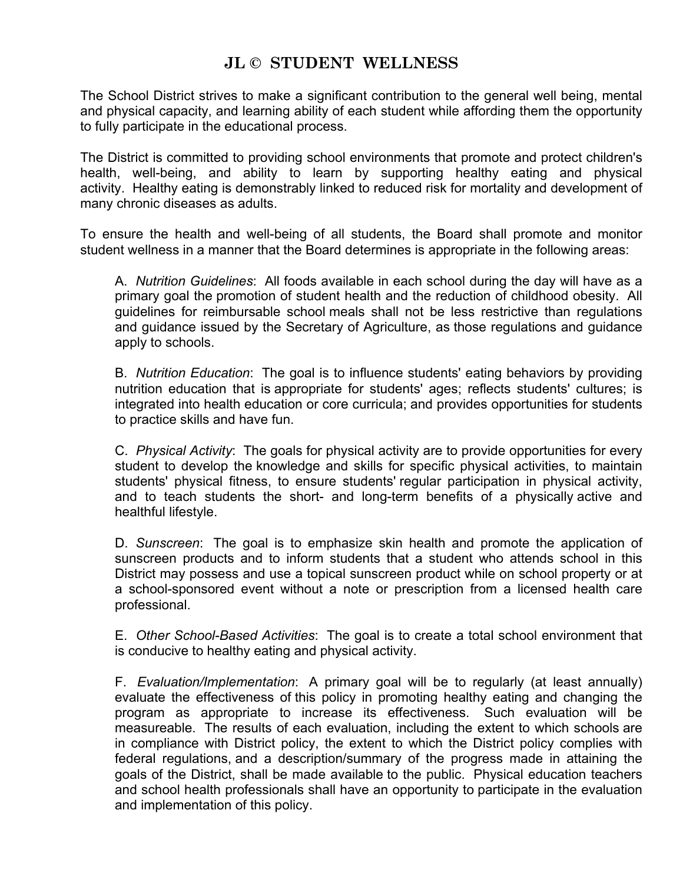## **JL © STUDENT WELLNESS**

The School District strives to make a significant contribution to the general well being, mental and physical capacity, and learning ability of each student while affording them the opportunity to fully participate in the educational process.

The District is committed to providing school environments that promote and protect children's health, well-being, and ability to learn by supporting healthy eating and physical activity. Healthy eating is demonstrably linked to reduced risk for mortality and development of many chronic diseases as adults.

To ensure the health and well-being of all students, the Board shall promote and monitor student wellness in a manner that the Board determines is appropriate in the following areas:

A. *Nutrition Guidelines*: All foods available in each school during the day will have as a primary goal the promotion of student health and the reduction of childhood obesity. All guidelines for reimbursable school meals shall not be less restrictive than regulations and guidance issued by the Secretary of Agriculture, as those regulations and guidance apply to schools.

B. *Nutrition Education*: The goal is to influence students' eating behaviors by providing nutrition education that is appropriate for students' ages; reflects students' cultures; is integrated into health education or core curricula; and provides opportunities for students to practice skills and have fun.

C. *Physical Activity*: The goals for physical activity are to provide opportunities for every student to develop the knowledge and skills for specific physical activities, to maintain students' physical fitness, to ensure students' regular participation in physical activity, and to teach students the short- and long-term benefits of a physically active and healthful lifestyle.

D. *Sunscreen*: The goal is to emphasize skin health and promote the application of sunscreen products and to inform students that a student who attends school in this District may possess and use a topical sunscreen product while on school property or at a school-sponsored event without a note or prescription from a licensed health care professional.

E. *Other School-Based Activities*: The goal is to create a total school environment that is conducive to healthy eating and physical activity.

F. *Evaluation/Implementation*: A primary goal will be to regularly (at least annually) evaluate the effectiveness of this policy in promoting healthy eating and changing the program as appropriate to increase its effectiveness. Such evaluation will be measureable. The results of each evaluation, including the extent to which schools are in compliance with District policy, the extent to which the District policy complies with federal regulations, and a description/summary of the progress made in attaining the goals of the District, shall be made available to the public. Physical education teachers and school health professionals shall have an opportunity to participate in the evaluation and implementation of this policy.